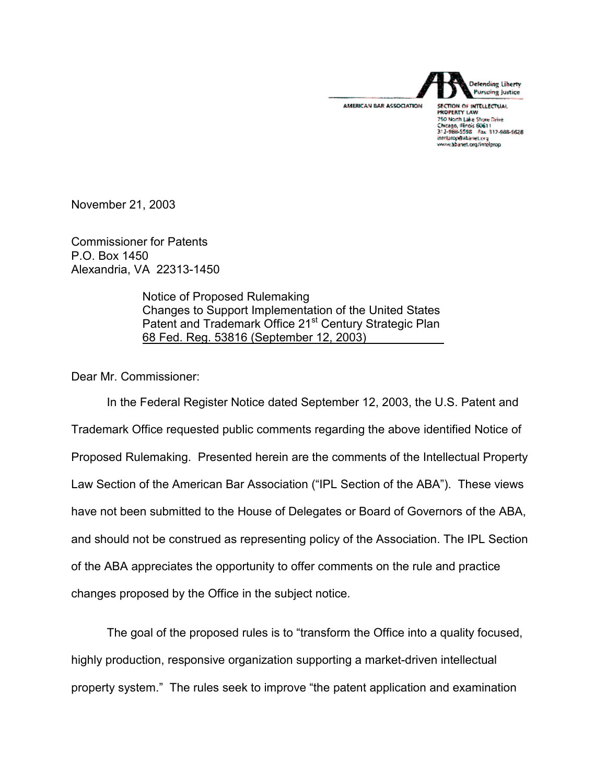

SECTION OF INTELLECTUAL 750 North Lake Shore Drive<br>Chicago, Illinois 60611<br>312-988-5598 - Fax: 317-988-5628 intelprop@abanet.org<br>www.abanet.org/intelprop

November 21, 2003

Commissioner for Patents P.O. Box 1450 Alexandria, VA 22313-1450

> Notice of Proposed Rulemaking Changes to Support Implementation of the United States Patent and Trademark Office 21<sup>st</sup> Century Strategic Plan 68 Fed. Reg. 53816 (September 12, 2003)

Dear Mr. Commissioner:

In the Federal Register Notice dated September 12, 2003, the U.S. Patent and Trademark Office requested public comments regarding the above identified Notice of Proposed Rulemaking. Presented herein are the comments of the Intellectual Property Law Section of the American Bar Association ("IPL Section of the ABA"). These views have not been submitted to the House of Delegates or Board of Governors of the ABA, and should not be construed as representing policy of the Association. The IPL Section of the ABA appreciates the opportunity to offer comments on the rule and practice changes proposed by the Office in the subject notice.

The goal of the proposed rules is to "transform the Office into a quality focused, highly production, responsive organization supporting a market-driven intellectual property system." The rules seek to improve "the patent application and examination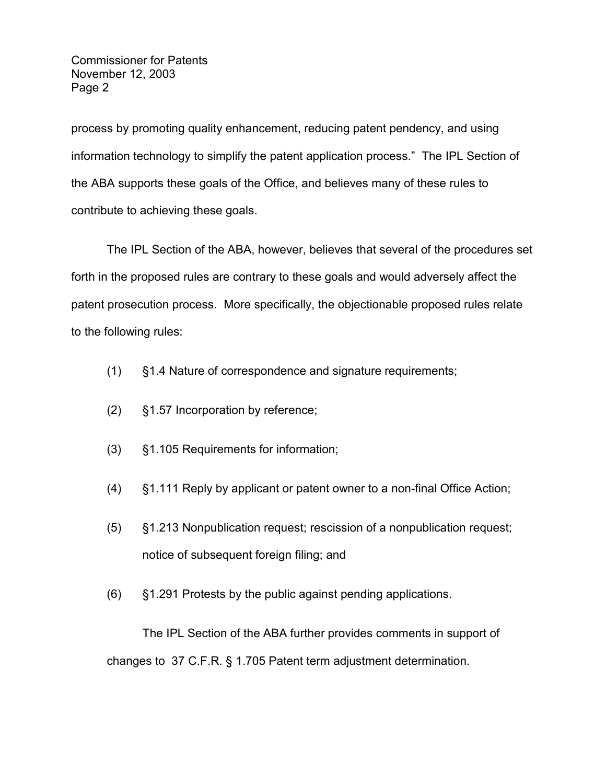process by promoting quality enhancement, reducing patent pendency, and using information technology to simplify the patent application process." The IPL Section of the ABA supports these goals of the Office, and believes many of these rules to contribute to achieving these goals.

The IPL Section of the ABA, however, believes that several of the procedures set forth in the proposed rules are contrary to these goals and would adversely affect the patent prosecution process. More specifically, the objectionable proposed rules relate to the following rules:

- (1) §1.4 Nature of correspondence and signature requirements;
- (2) §1.57 Incorporation by reference;
- (3) §1.105 Requirements for information;
- (4) §1.111 Reply by applicant or patent owner to a non-final Office Action;
- (5) §1.213 Nonpublication request; rescission of a nonpublication request; notice of subsequent foreign filing; and
- (6) §1.291 Protests by the public against pending applications.

The IPL Section of the ABA further provides comments in support of changes to 37 C.F.R. § 1.705 Patent term adjustment determination.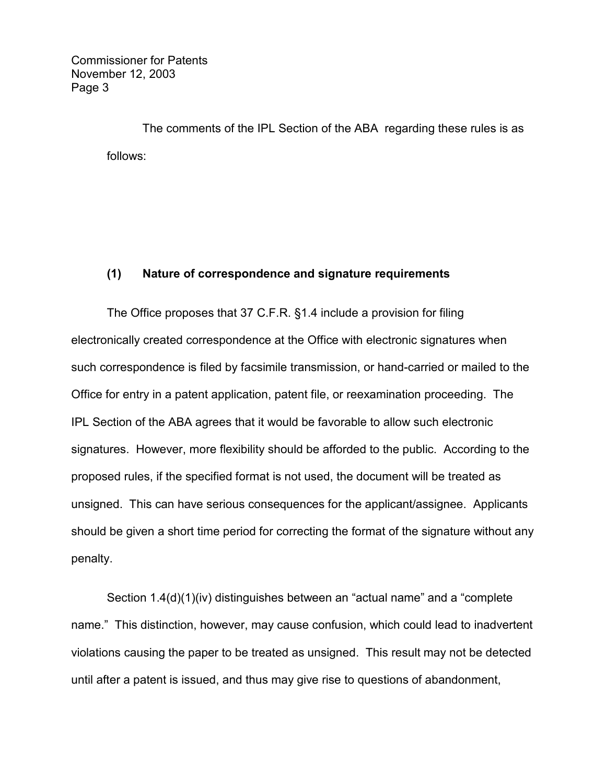The comments of the IPL Section of the ABA regarding these rules is as follows:

# **(1) Nature of correspondence and signature requirements**

The Office proposes that 37 C.F.R. §1.4 include a provision for filing electronically created correspondence at the Office with electronic signatures when such correspondence is filed by facsimile transmission, or hand-carried or mailed to the Office for entry in a patent application, patent file, or reexamination proceeding. The IPL Section of the ABA agrees that it would be favorable to allow such electronic signatures. However, more flexibility should be afforded to the public. According to the proposed rules, if the specified format is not used, the document will be treated as unsigned. This can have serious consequences for the applicant/assignee. Applicants should be given a short time period for correcting the format of the signature without any penalty.

Section 1.4(d)(1)(iv) distinguishes between an "actual name" and a "complete name." This distinction, however, may cause confusion, which could lead to inadvertent violations causing the paper to be treated as unsigned. This result may not be detected until after a patent is issued, and thus may give rise to questions of abandonment,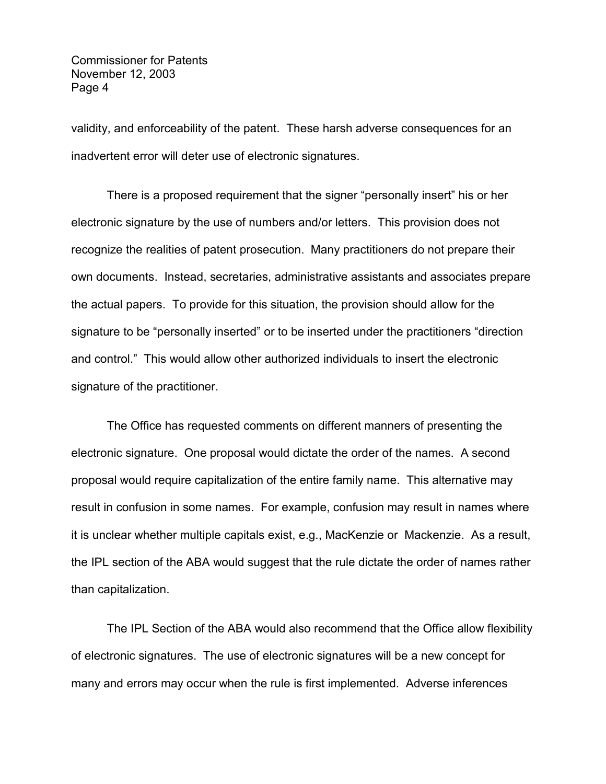validity, and enforceability of the patent. These harsh adverse consequences for an inadvertent error will deter use of electronic signatures.

There is a proposed requirement that the signer "personally insert" his or her electronic signature by the use of numbers and/or letters. This provision does not recognize the realities of patent prosecution. Many practitioners do not prepare their own documents. Instead, secretaries, administrative assistants and associates prepare the actual papers. To provide for this situation, the provision should allow for the signature to be "personally inserted" or to be inserted under the practitioners "direction and control." This would allow other authorized individuals to insert the electronic signature of the practitioner.

The Office has requested comments on different manners of presenting the electronic signature. One proposal would dictate the order of the names. A second proposal would require capitalization of the entire family name. This alternative may result in confusion in some names. For example, confusion may result in names where it is unclear whether multiple capitals exist, e.g., MacKenzie or Mackenzie. As a result, the IPL section of the ABA would suggest that the rule dictate the order of names rather than capitalization.

The IPL Section of the ABA would also recommend that the Office allow flexibility of electronic signatures. The use of electronic signatures will be a new concept for many and errors may occur when the rule is first implemented. Adverse inferences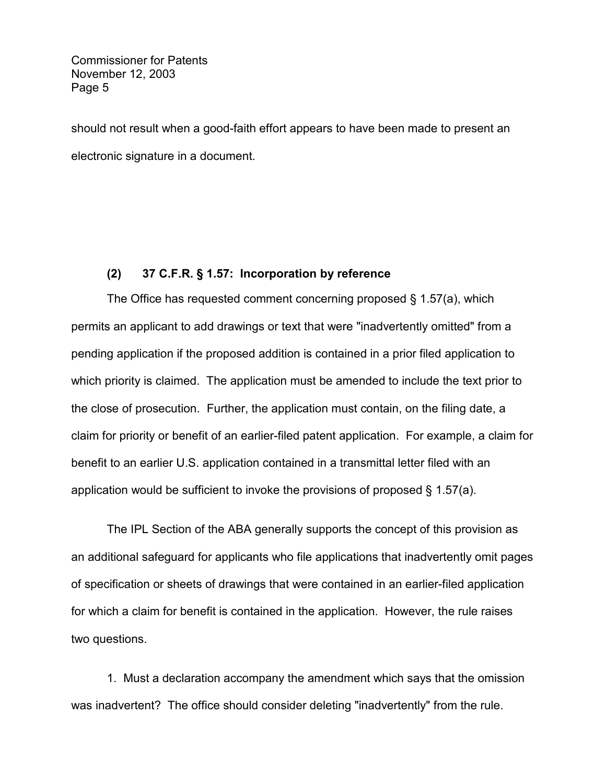should not result when a good-faith effort appears to have been made to present an electronic signature in a document.

## **(2) 37 C.F.R. § 1.57: Incorporation by reference**

The Office has requested comment concerning proposed § 1.57(a), which permits an applicant to add drawings or text that were "inadvertently omitted" from a pending application if the proposed addition is contained in a prior filed application to which priority is claimed. The application must be amended to include the text prior to the close of prosecution. Further, the application must contain, on the filing date, a claim for priority or benefit of an earlier-filed patent application. For example, a claim for benefit to an earlier U.S. application contained in a transmittal letter filed with an application would be sufficient to invoke the provisions of proposed § 1.57(a).

The IPL Section of the ABA generally supports the concept of this provision as an additional safeguard for applicants who file applications that inadvertently omit pages of specification or sheets of drawings that were contained in an earlier-filed application for which a claim for benefit is contained in the application. However, the rule raises two questions.

1. Must a declaration accompany the amendment which says that the omission was inadvertent? The office should consider deleting "inadvertently" from the rule.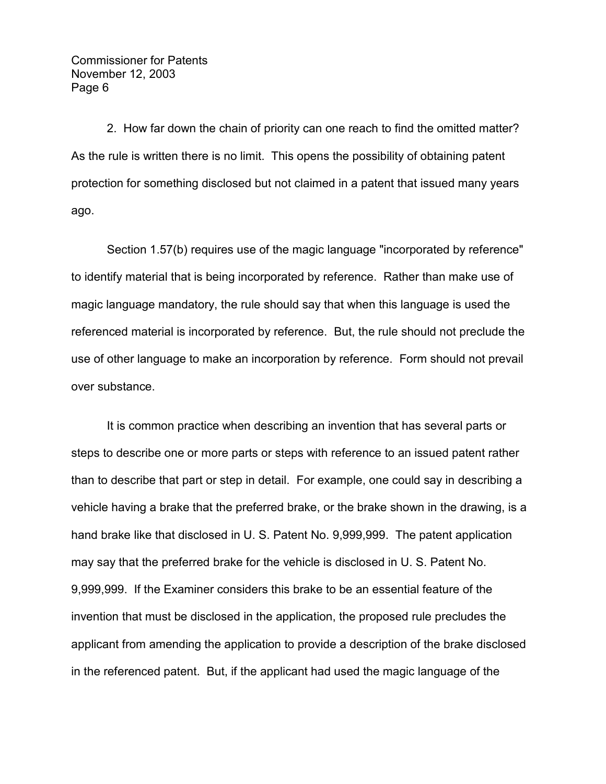2. How far down the chain of priority can one reach to find the omitted matter? As the rule is written there is no limit. This opens the possibility of obtaining patent protection for something disclosed but not claimed in a patent that issued many years ago.

Section 1.57(b) requires use of the magic language "incorporated by reference" to identify material that is being incorporated by reference. Rather than make use of magic language mandatory, the rule should say that when this language is used the referenced material is incorporated by reference. But, the rule should not preclude the use of other language to make an incorporation by reference. Form should not prevail over substance.

It is common practice when describing an invention that has several parts or steps to describe one or more parts or steps with reference to an issued patent rather than to describe that part or step in detail. For example, one could say in describing a vehicle having a brake that the preferred brake, or the brake shown in the drawing, is a hand brake like that disclosed in U. S. Patent No. 9,999,999. The patent application may say that the preferred brake for the vehicle is disclosed in U. S. Patent No. 9,999,999. If the Examiner considers this brake to be an essential feature of the invention that must be disclosed in the application, the proposed rule precludes the applicant from amending the application to provide a description of the brake disclosed in the referenced patent. But, if the applicant had used the magic language of the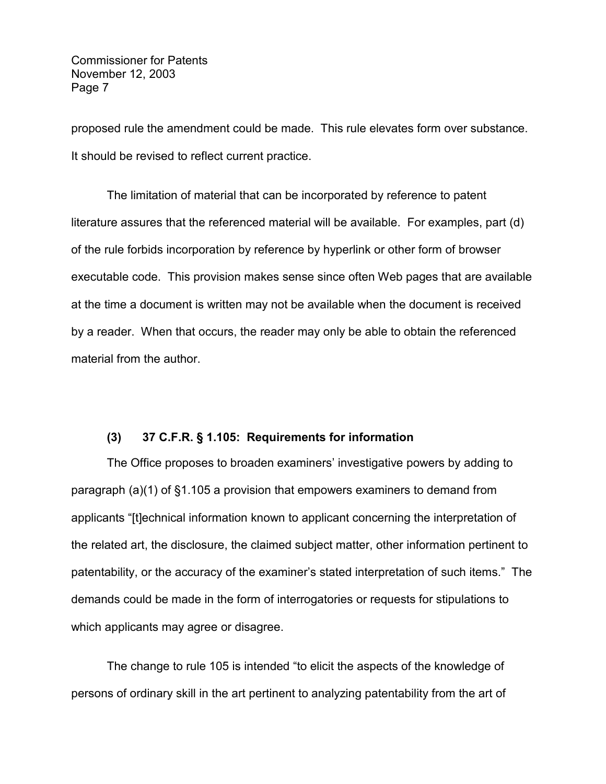proposed rule the amendment could be made. This rule elevates form over substance. It should be revised to reflect current practice.

The limitation of material that can be incorporated by reference to patent literature assures that the referenced material will be available. For examples, part (d) of the rule forbids incorporation by reference by hyperlink or other form of browser executable code. This provision makes sense since often Web pages that are available at the time a document is written may not be available when the document is received by a reader. When that occurs, the reader may only be able to obtain the referenced material from the author.

### **(3) 37 C.F.R. § 1.105: Requirements for information**

The Office proposes to broaden examiners' investigative powers by adding to paragraph (a)(1) of §1.105 a provision that empowers examiners to demand from applicants "[t]echnical information known to applicant concerning the interpretation of the related art, the disclosure, the claimed subject matter, other information pertinent to patentability, or the accuracy of the examiner's stated interpretation of such items." The demands could be made in the form of interrogatories or requests for stipulations to which applicants may agree or disagree.

The change to rule 105 is intended "to elicit the aspects of the knowledge of persons of ordinary skill in the art pertinent to analyzing patentability from the art of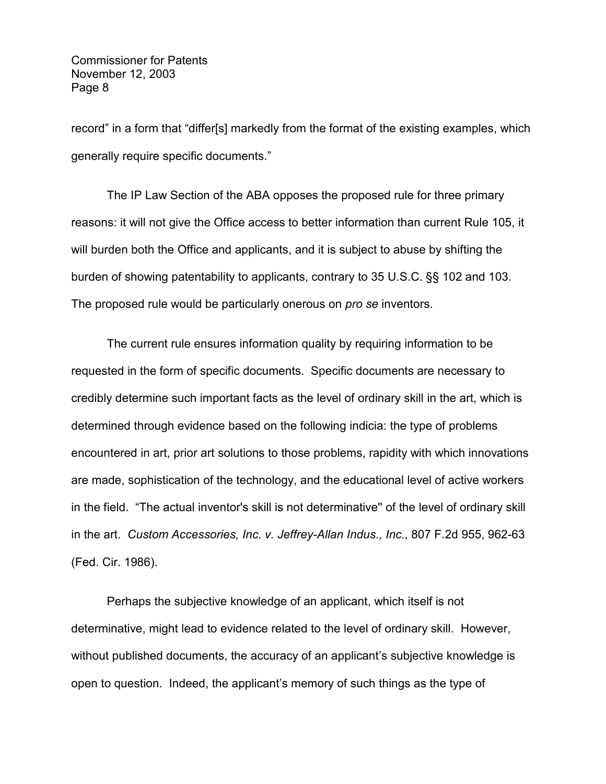record" in a form that "differ[s] markedly from the format of the existing examples, which generally require specific documents."

The IP Law Section of the ABA opposes the proposed rule for three primary reasons: it will not give the Office access to better information than current Rule 105, it will burden both the Office and applicants, and it is subject to abuse by shifting the burden of showing patentability to applicants, contrary to 35 U.S.C. §§ 102 and 103. The proposed rule would be particularly onerous on *pro se* inventors.

The current rule ensures information quality by requiring information to be requested in the form of specific documents. Specific documents are necessary to credibly determine such important facts as the level of ordinary skill in the art, which is determined through evidence based on the following indicia: the type of problems encountered in art, prior art solutions to those problems, rapidity with which innovations are made, sophistication of the technology, and the educational level of active workers in the field. "The actual inventor's skill is not determinative'' of the level of ordinary skill in the art. *Custom Accessories, Inc. v. Jeffrey-Allan Indus., Inc.*, 807 F.2d 955, 962-63 (Fed. Cir. 1986).

Perhaps the subjective knowledge of an applicant, which itself is not determinative, might lead to evidence related to the level of ordinary skill. However, without published documents, the accuracy of an applicant's subjective knowledge is open to question. Indeed, the applicant's memory of such things as the type of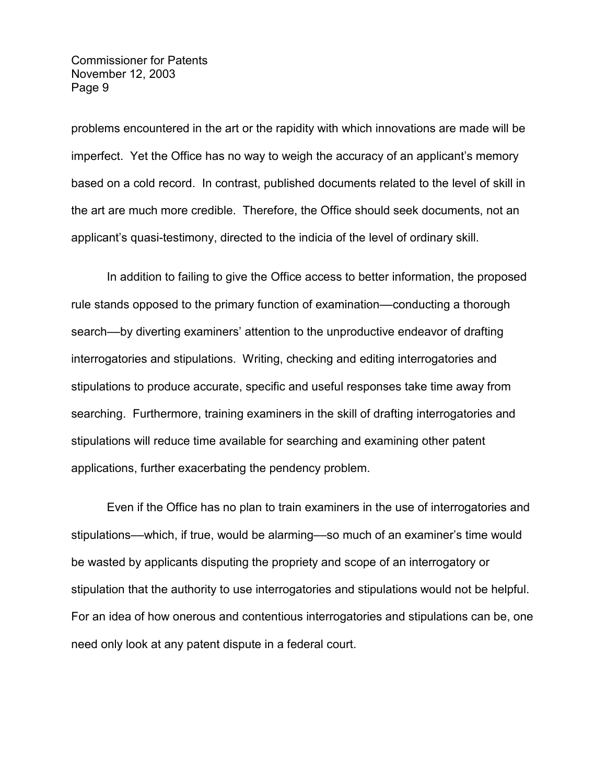problems encountered in the art or the rapidity with which innovations are made will be imperfect. Yet the Office has no way to weigh the accuracy of an applicant's memory based on a cold record. In contrast, published documents related to the level of skill in the art are much more credible. Therefore, the Office should seek documents, not an applicant's quasi-testimony, directed to the indicia of the level of ordinary skill.

In addition to failing to give the Office access to better information, the proposed rule stands opposed to the primary function of examination––conducting a thorough search––by diverting examiners' attention to the unproductive endeavor of drafting interrogatories and stipulations. Writing, checking and editing interrogatories and stipulations to produce accurate, specific and useful responses take time away from searching. Furthermore, training examiners in the skill of drafting interrogatories and stipulations will reduce time available for searching and examining other patent applications, further exacerbating the pendency problem.

Even if the Office has no plan to train examiners in the use of interrogatories and stipulations––which, if true, would be alarming––so much of an examiner's time would be wasted by applicants disputing the propriety and scope of an interrogatory or stipulation that the authority to use interrogatories and stipulations would not be helpful. For an idea of how onerous and contentious interrogatories and stipulations can be, one need only look at any patent dispute in a federal court.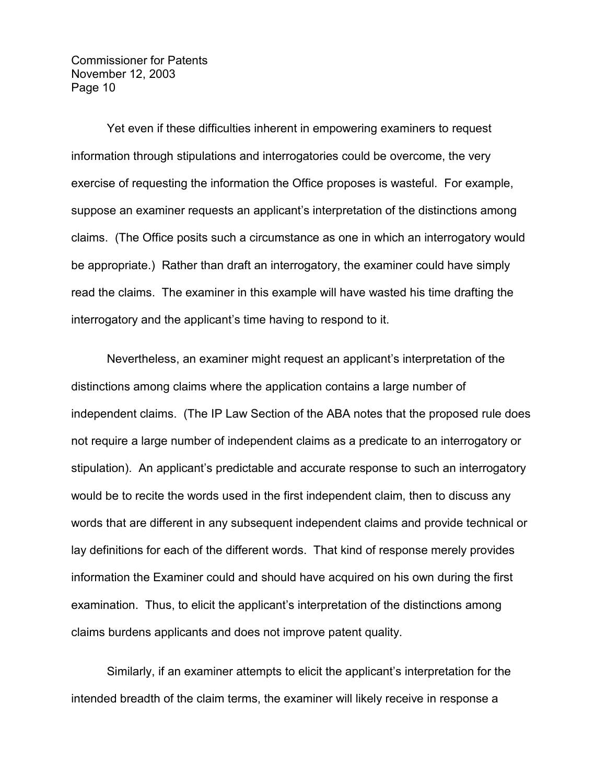Yet even if these difficulties inherent in empowering examiners to request information through stipulations and interrogatories could be overcome, the very exercise of requesting the information the Office proposes is wasteful. For example, suppose an examiner requests an applicant's interpretation of the distinctions among claims. (The Office posits such a circumstance as one in which an interrogatory would be appropriate.) Rather than draft an interrogatory, the examiner could have simply read the claims. The examiner in this example will have wasted his time drafting the interrogatory and the applicant's time having to respond to it.

Nevertheless, an examiner might request an applicant's interpretation of the distinctions among claims where the application contains a large number of independent claims. (The IP Law Section of the ABA notes that the proposed rule does not require a large number of independent claims as a predicate to an interrogatory or stipulation). An applicant's predictable and accurate response to such an interrogatory would be to recite the words used in the first independent claim, then to discuss any words that are different in any subsequent independent claims and provide technical or lay definitions for each of the different words. That kind of response merely provides information the Examiner could and should have acquired on his own during the first examination. Thus, to elicit the applicant's interpretation of the distinctions among claims burdens applicants and does not improve patent quality.

Similarly, if an examiner attempts to elicit the applicant's interpretation for the intended breadth of the claim terms, the examiner will likely receive in response a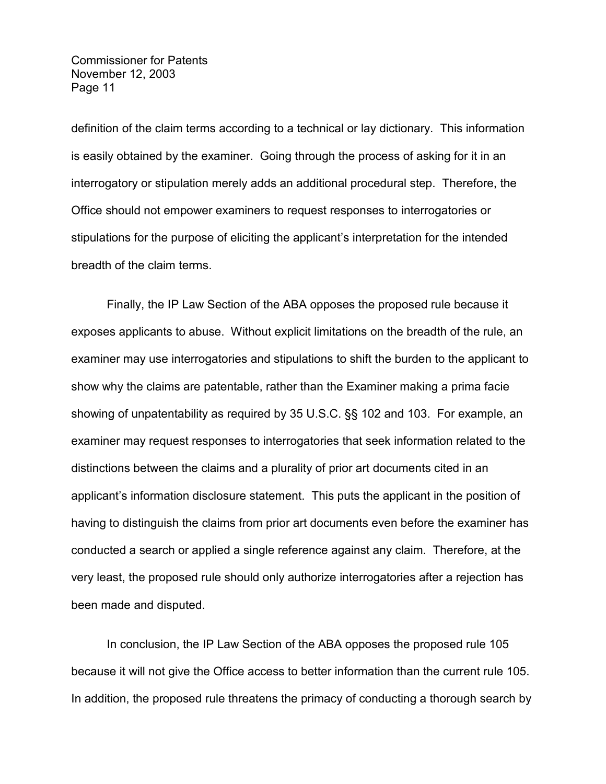definition of the claim terms according to a technical or lay dictionary. This information is easily obtained by the examiner. Going through the process of asking for it in an interrogatory or stipulation merely adds an additional procedural step. Therefore, the Office should not empower examiners to request responses to interrogatories or stipulations for the purpose of eliciting the applicant's interpretation for the intended breadth of the claim terms.

Finally, the IP Law Section of the ABA opposes the proposed rule because it exposes applicants to abuse. Without explicit limitations on the breadth of the rule, an examiner may use interrogatories and stipulations to shift the burden to the applicant to show why the claims are patentable, rather than the Examiner making a prima facie showing of unpatentability as required by 35 U.S.C. §§ 102 and 103. For example, an examiner may request responses to interrogatories that seek information related to the distinctions between the claims and a plurality of prior art documents cited in an applicant's information disclosure statement. This puts the applicant in the position of having to distinguish the claims from prior art documents even before the examiner has conducted a search or applied a single reference against any claim. Therefore, at the very least, the proposed rule should only authorize interrogatories after a rejection has been made and disputed.

In conclusion, the IP Law Section of the ABA opposes the proposed rule 105 because it will not give the Office access to better information than the current rule 105. In addition, the proposed rule threatens the primacy of conducting a thorough search by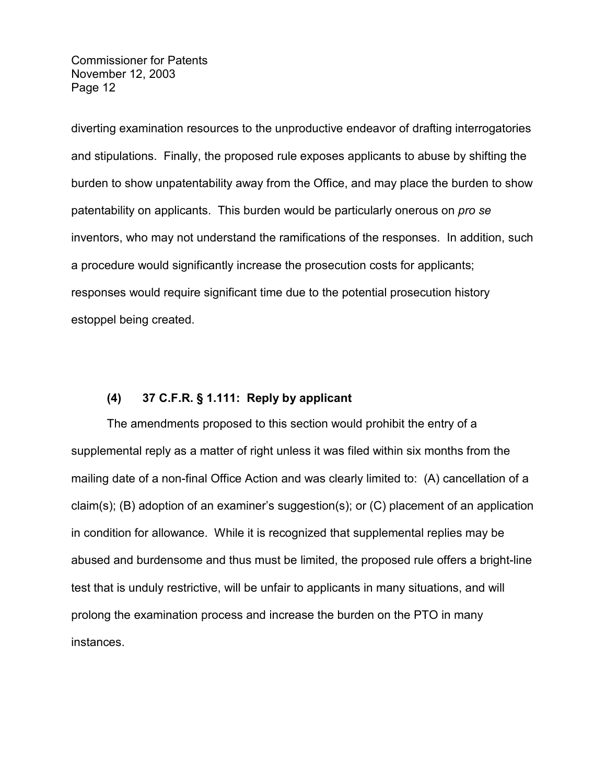diverting examination resources to the unproductive endeavor of drafting interrogatories and stipulations. Finally, the proposed rule exposes applicants to abuse by shifting the burden to show unpatentability away from the Office, and may place the burden to show patentability on applicants. This burden would be particularly onerous on *pro se*  inventors, who may not understand the ramifications of the responses. In addition, such a procedure would significantly increase the prosecution costs for applicants; responses would require significant time due to the potential prosecution history estoppel being created.

# **(4) 37 C.F.R. § 1.111: Reply by applicant**

The amendments proposed to this section would prohibit the entry of a supplemental reply as a matter of right unless it was filed within six months from the mailing date of a non-final Office Action and was clearly limited to: (A) cancellation of a claim(s); (B) adoption of an examiner's suggestion(s); or (C) placement of an application in condition for allowance. While it is recognized that supplemental replies may be abused and burdensome and thus must be limited, the proposed rule offers a bright-line test that is unduly restrictive, will be unfair to applicants in many situations, and will prolong the examination process and increase the burden on the PTO in many instances.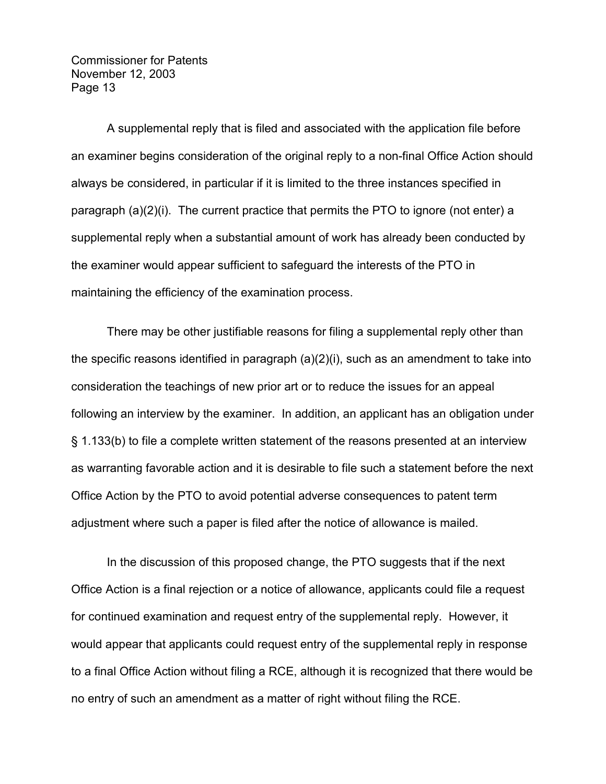A supplemental reply that is filed and associated with the application file before an examiner begins consideration of the original reply to a non-final Office Action should always be considered, in particular if it is limited to the three instances specified in paragraph (a)(2)(i). The current practice that permits the PTO to ignore (not enter) a supplemental reply when a substantial amount of work has already been conducted by the examiner would appear sufficient to safeguard the interests of the PTO in maintaining the efficiency of the examination process.

There may be other justifiable reasons for filing a supplemental reply other than the specific reasons identified in paragraph (a)(2)(i), such as an amendment to take into consideration the teachings of new prior art or to reduce the issues for an appeal following an interview by the examiner. In addition, an applicant has an obligation under § 1.133(b) to file a complete written statement of the reasons presented at an interview as warranting favorable action and it is desirable to file such a statement before the next Office Action by the PTO to avoid potential adverse consequences to patent term adjustment where such a paper is filed after the notice of allowance is mailed.

In the discussion of this proposed change, the PTO suggests that if the next Office Action is a final rejection or a notice of allowance, applicants could file a request for continued examination and request entry of the supplemental reply. However, it would appear that applicants could request entry of the supplemental reply in response to a final Office Action without filing a RCE, although it is recognized that there would be no entry of such an amendment as a matter of right without filing the RCE.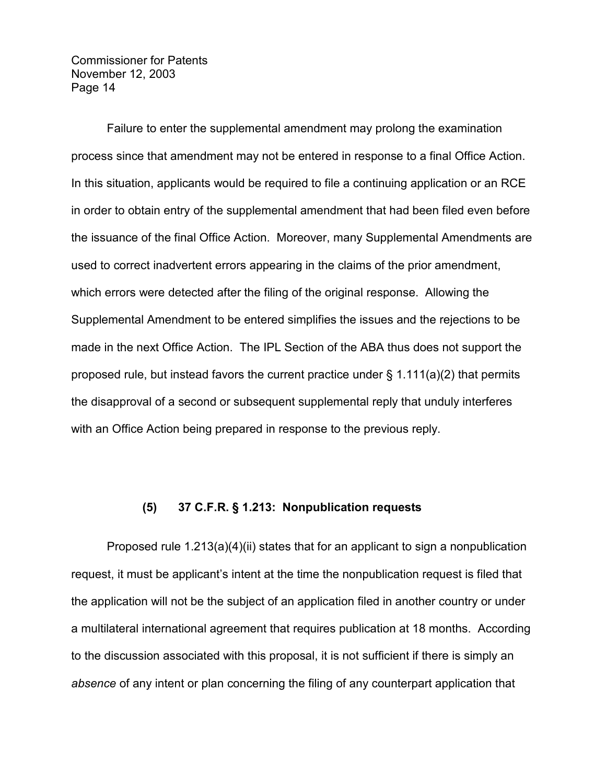Failure to enter the supplemental amendment may prolong the examination process since that amendment may not be entered in response to a final Office Action. In this situation, applicants would be required to file a continuing application or an RCE in order to obtain entry of the supplemental amendment that had been filed even before the issuance of the final Office Action. Moreover, many Supplemental Amendments are used to correct inadvertent errors appearing in the claims of the prior amendment, which errors were detected after the filing of the original response. Allowing the Supplemental Amendment to be entered simplifies the issues and the rejections to be made in the next Office Action. The IPL Section of the ABA thus does not support the proposed rule, but instead favors the current practice under  $\S$  1.111(a)(2) that permits the disapproval of a second or subsequent supplemental reply that unduly interferes with an Office Action being prepared in response to the previous reply.

### **(5) 37 C.F.R. § 1.213: Nonpublication requests**

Proposed rule  $1.213(a)(4)(ii)$  states that for an applicant to sign a nonpublication request, it must be applicant's intent at the time the nonpublication request is filed that the application will not be the subject of an application filed in another country or under a multilateral international agreement that requires publication at 18 months. According to the discussion associated with this proposal, it is not sufficient if there is simply an *absence* of any intent or plan concerning the filing of any counterpart application that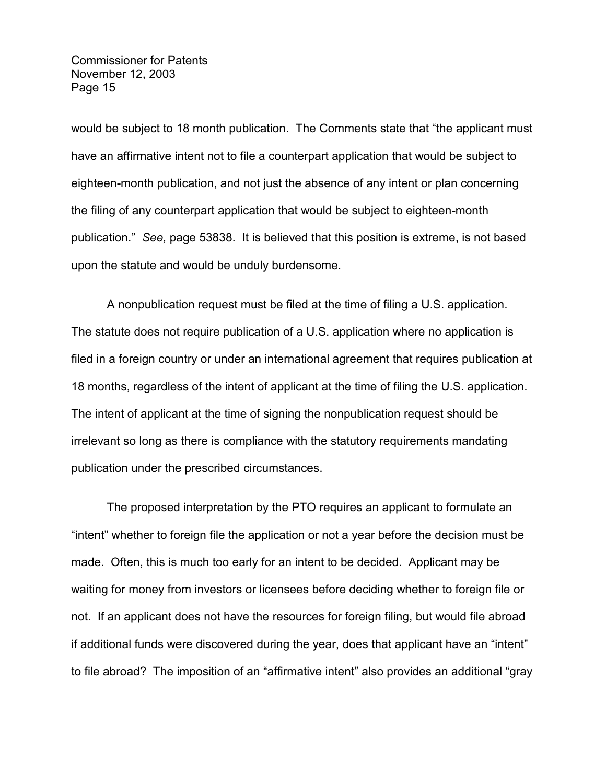would be subject to 18 month publication. The Comments state that "the applicant must have an affirmative intent not to file a counterpart application that would be subject to eighteen-month publication, and not just the absence of any intent or plan concerning the filing of any counterpart application that would be subject to eighteen-month publication." *See,* page 53838. It is believed that this position is extreme, is not based upon the statute and would be unduly burdensome.

A nonpublication request must be filed at the time of filing a U.S. application. The statute does not require publication of a U.S. application where no application is filed in a foreign country or under an international agreement that requires publication at 18 months, regardless of the intent of applicant at the time of filing the U.S. application. The intent of applicant at the time of signing the nonpublication request should be irrelevant so long as there is compliance with the statutory requirements mandating publication under the prescribed circumstances.

The proposed interpretation by the PTO requires an applicant to formulate an "intent" whether to foreign file the application or not a year before the decision must be made. Often, this is much too early for an intent to be decided. Applicant may be waiting for money from investors or licensees before deciding whether to foreign file or not. If an applicant does not have the resources for foreign filing, but would file abroad if additional funds were discovered during the year, does that applicant have an "intent" to file abroad? The imposition of an "affirmative intent" also provides an additional "gray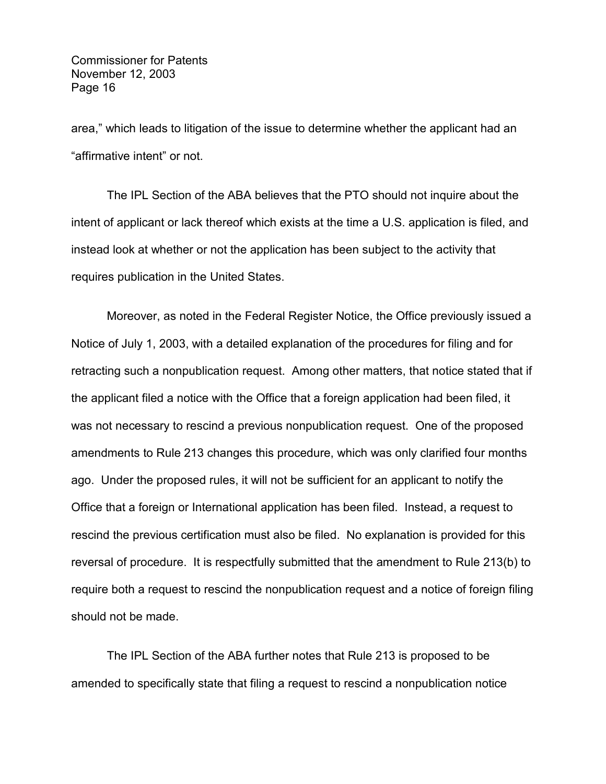area," which leads to litigation of the issue to determine whether the applicant had an "affirmative intent" or not.

The IPL Section of the ABA believes that the PTO should not inquire about the intent of applicant or lack thereof which exists at the time a U.S. application is filed, and instead look at whether or not the application has been subject to the activity that requires publication in the United States.

Moreover, as noted in the Federal Register Notice, the Office previously issued a Notice of July 1, 2003, with a detailed explanation of the procedures for filing and for retracting such a nonpublication request. Among other matters, that notice stated that if the applicant filed a notice with the Office that a foreign application had been filed, it was not necessary to rescind a previous nonpublication request. One of the proposed amendments to Rule 213 changes this procedure, which was only clarified four months ago. Under the proposed rules, it will not be sufficient for an applicant to notify the Office that a foreign or International application has been filed. Instead, a request to rescind the previous certification must also be filed. No explanation is provided for this reversal of procedure. It is respectfully submitted that the amendment to Rule 213(b) to require both a request to rescind the nonpublication request and a notice of foreign filing should not be made.

The IPL Section of the ABA further notes that Rule 213 is proposed to be amended to specifically state that filing a request to rescind a nonpublication notice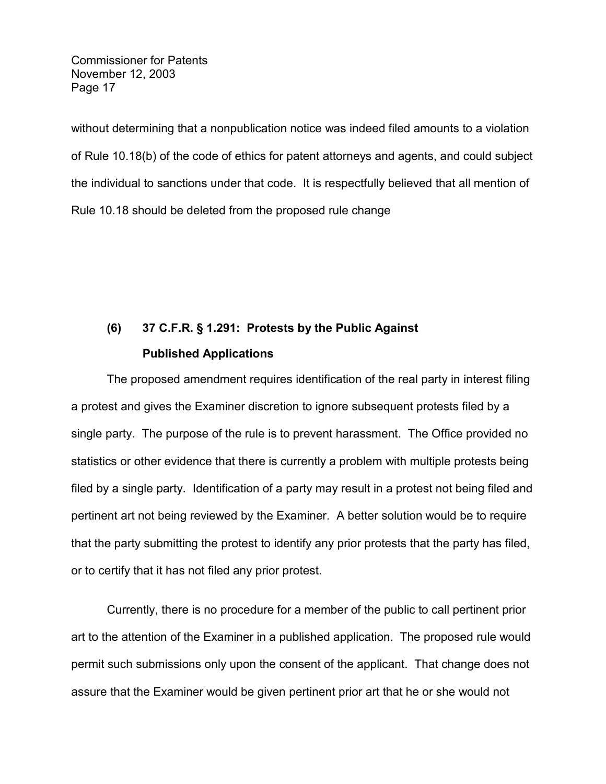without determining that a nonpublication notice was indeed filed amounts to a violation of Rule 10.18(b) of the code of ethics for patent attorneys and agents, and could subject the individual to sanctions under that code. It is respectfully believed that all mention of Rule 10.18 should be deleted from the proposed rule change

# **(6) 37 C.F.R. § 1.291: Protests by the Public Against Published Applications**

The proposed amendment requires identification of the real party in interest filing a protest and gives the Examiner discretion to ignore subsequent protests filed by a single party. The purpose of the rule is to prevent harassment. The Office provided no statistics or other evidence that there is currently a problem with multiple protests being filed by a single party. Identification of a party may result in a protest not being filed and pertinent art not being reviewed by the Examiner. A better solution would be to require that the party submitting the protest to identify any prior protests that the party has filed, or to certify that it has not filed any prior protest.

Currently, there is no procedure for a member of the public to call pertinent prior art to the attention of the Examiner in a published application. The proposed rule would permit such submissions only upon the consent of the applicant. That change does not assure that the Examiner would be given pertinent prior art that he or she would not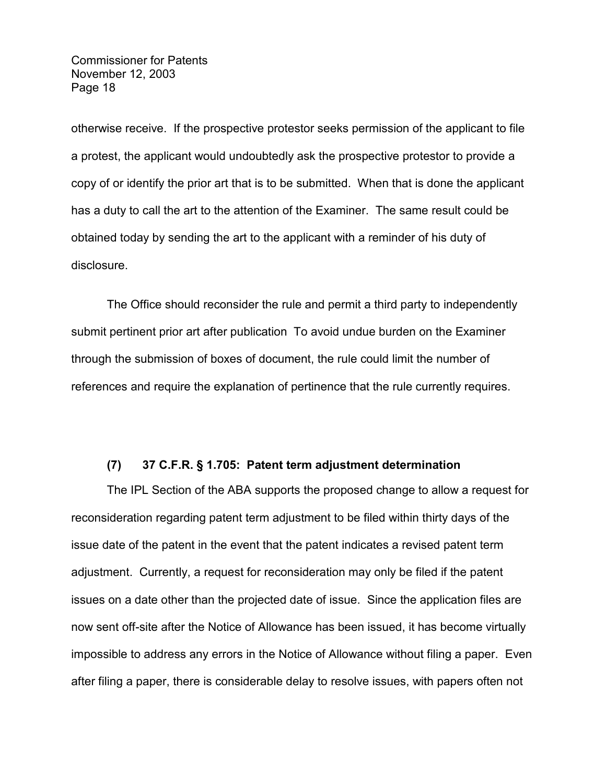otherwise receive. If the prospective protestor seeks permission of the applicant to file a protest, the applicant would undoubtedly ask the prospective protestor to provide a copy of or identify the prior art that is to be submitted. When that is done the applicant has a duty to call the art to the attention of the Examiner. The same result could be obtained today by sending the art to the applicant with a reminder of his duty of disclosure.

The Office should reconsider the rule and permit a third party to independently submit pertinent prior art after publication To avoid undue burden on the Examiner through the submission of boxes of document, the rule could limit the number of references and require the explanation of pertinence that the rule currently requires.

## **(7) 37 C.F.R. § 1.705: Patent term adjustment determination**

The IPL Section of the ABA supports the proposed change to allow a request for reconsideration regarding patent term adjustment to be filed within thirty days of the issue date of the patent in the event that the patent indicates a revised patent term adjustment. Currently, a request for reconsideration may only be filed if the patent issues on a date other than the projected date of issue. Since the application files are now sent off-site after the Notice of Allowance has been issued, it has become virtually impossible to address any errors in the Notice of Allowance without filing a paper. Even after filing a paper, there is considerable delay to resolve issues, with papers often not